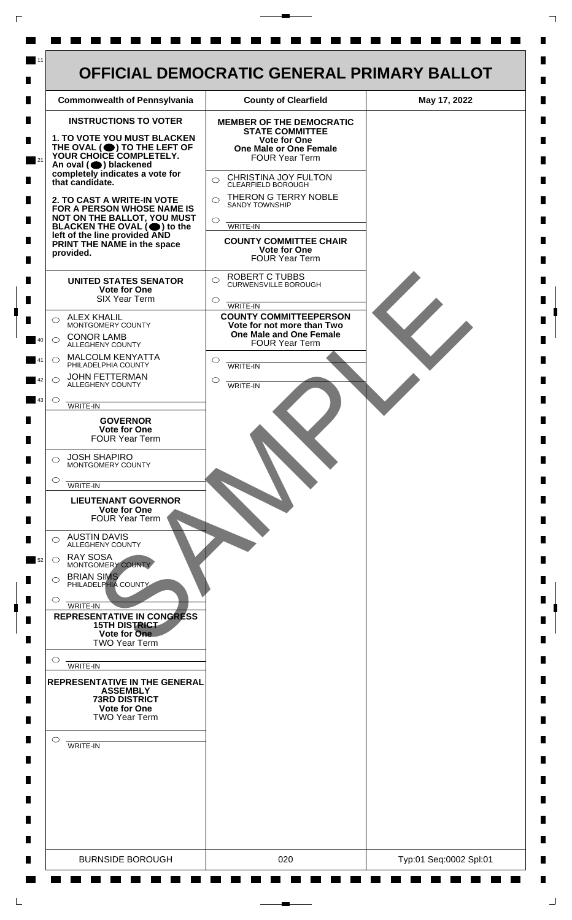| <b>INSTRUCTIONS TO VOTER</b><br><b>MEMBER OF THE DEMOCRATIC</b><br><b>STATE COMMITTEE</b><br><b>1. TO VOTE YOU MUST BLACKEN</b><br>Vote for One<br>THE OVAL (O) TO THE LEFT OF YOUR CHOICE COMPLETELY.<br><b>One Male or One Female</b><br><b>FOUR Year Term</b><br>An oval (O) blackened<br>completely indicates a vote for<br>CHRISTINA JOY FULTON<br>$\bigcirc$<br>that candidate.<br>CLEARFIELD BOROUGH<br>THERON G TERRY NOBLE<br>$\bigcap$<br>2. TO CAST A WRITE-IN VOTE<br><b>SANDY TOWNSHIP</b><br>FOR A PERSON WHOSE NAME IS<br>NOT ON THE BALLOT, YOU MUST<br>$\bigcirc$<br>WRITE-IN<br>BLACKEN THE OVAL $(\bigcirc)$ to the<br>left of the line provided AND<br><b>COUNTY COMMITTEE CHAIR</b><br>PRINT THE NAME in the space<br><b>Vote for One</b><br>provided.<br><b>FOUR Year Term</b><br><b>ROBERT C TUBBS</b><br>$\bigcirc$<br><b>UNITED STATES SENATOR</b><br><b>CURWENSVILLE BOROUGH</b><br>Vote for One<br><b>SIX Year Term</b><br>$\circ$<br>WRITE-IN<br><b>COUNTY COMMITTEEPERSON</b><br><b>ALEX KHALIL</b><br>◯<br>MONTGOMERY COUNTY<br>Vote for not more than Two<br>One Male and One Female<br><b>CONOR LAMB</b><br>$\bigcirc$<br><b>FOUR Year Term</b><br>ALLEGHENY COUNTY<br>MALCOLM KENYATTA<br>◯<br>$\circ$<br>PHILADELPHIA COUNTY<br><b>WRITE-IN</b><br><b>JOHN FETTERMAN</b><br>◯<br>O<br>ALLEGHENY COUNTY<br>WRITE-IN<br>$\circ$<br>WRITE-IN<br><b>GOVERNOR</b><br><b>Vote for One</b><br><b>FOUR Year Term</b><br><b>JOSH SHAPIRO</b><br>⌒<br>MONTGOMERY COUNTY<br>$\circ$<br>WRITE-IN<br><b>LIEUTENANT GOVERNOR</b><br><b>Vote for One</b><br><b>FOUR Year Term</b><br><b>AUSTIN DAVIS</b><br>⌒<br><b>ALLEGHENY COUNTY</b><br><b>RAY SOSA</b><br>$\bigcirc$<br>MONTGOMERY COUNTY<br><b>BRIAN SIMS</b><br>$\circ$<br>PHILADELPHIA COUNTY<br>$\circ$<br>WRITE-IN<br><b>REPRESENTATIVE IN CONGRESS</b><br><b>15TH DISTRICT</b><br>Vote for One<br><b>TWO Year Term</b> |  |
|------------------------------------------------------------------------------------------------------------------------------------------------------------------------------------------------------------------------------------------------------------------------------------------------------------------------------------------------------------------------------------------------------------------------------------------------------------------------------------------------------------------------------------------------------------------------------------------------------------------------------------------------------------------------------------------------------------------------------------------------------------------------------------------------------------------------------------------------------------------------------------------------------------------------------------------------------------------------------------------------------------------------------------------------------------------------------------------------------------------------------------------------------------------------------------------------------------------------------------------------------------------------------------------------------------------------------------------------------------------------------------------------------------------------------------------------------------------------------------------------------------------------------------------------------------------------------------------------------------------------------------------------------------------------------------------------------------------------------------------------------------------------------------------------------------------------------------------------------------------------------------------------------|--|
|                                                                                                                                                                                                                                                                                                                                                                                                                                                                                                                                                                                                                                                                                                                                                                                                                                                                                                                                                                                                                                                                                                                                                                                                                                                                                                                                                                                                                                                                                                                                                                                                                                                                                                                                                                                                                                                                                                      |  |
|                                                                                                                                                                                                                                                                                                                                                                                                                                                                                                                                                                                                                                                                                                                                                                                                                                                                                                                                                                                                                                                                                                                                                                                                                                                                                                                                                                                                                                                                                                                                                                                                                                                                                                                                                                                                                                                                                                      |  |
|                                                                                                                                                                                                                                                                                                                                                                                                                                                                                                                                                                                                                                                                                                                                                                                                                                                                                                                                                                                                                                                                                                                                                                                                                                                                                                                                                                                                                                                                                                                                                                                                                                                                                                                                                                                                                                                                                                      |  |
|                                                                                                                                                                                                                                                                                                                                                                                                                                                                                                                                                                                                                                                                                                                                                                                                                                                                                                                                                                                                                                                                                                                                                                                                                                                                                                                                                                                                                                                                                                                                                                                                                                                                                                                                                                                                                                                                                                      |  |
|                                                                                                                                                                                                                                                                                                                                                                                                                                                                                                                                                                                                                                                                                                                                                                                                                                                                                                                                                                                                                                                                                                                                                                                                                                                                                                                                                                                                                                                                                                                                                                                                                                                                                                                                                                                                                                                                                                      |  |
|                                                                                                                                                                                                                                                                                                                                                                                                                                                                                                                                                                                                                                                                                                                                                                                                                                                                                                                                                                                                                                                                                                                                                                                                                                                                                                                                                                                                                                                                                                                                                                                                                                                                                                                                                                                                                                                                                                      |  |
|                                                                                                                                                                                                                                                                                                                                                                                                                                                                                                                                                                                                                                                                                                                                                                                                                                                                                                                                                                                                                                                                                                                                                                                                                                                                                                                                                                                                                                                                                                                                                                                                                                                                                                                                                                                                                                                                                                      |  |
|                                                                                                                                                                                                                                                                                                                                                                                                                                                                                                                                                                                                                                                                                                                                                                                                                                                                                                                                                                                                                                                                                                                                                                                                                                                                                                                                                                                                                                                                                                                                                                                                                                                                                                                                                                                                                                                                                                      |  |
|                                                                                                                                                                                                                                                                                                                                                                                                                                                                                                                                                                                                                                                                                                                                                                                                                                                                                                                                                                                                                                                                                                                                                                                                                                                                                                                                                                                                                                                                                                                                                                                                                                                                                                                                                                                                                                                                                                      |  |
|                                                                                                                                                                                                                                                                                                                                                                                                                                                                                                                                                                                                                                                                                                                                                                                                                                                                                                                                                                                                                                                                                                                                                                                                                                                                                                                                                                                                                                                                                                                                                                                                                                                                                                                                                                                                                                                                                                      |  |
|                                                                                                                                                                                                                                                                                                                                                                                                                                                                                                                                                                                                                                                                                                                                                                                                                                                                                                                                                                                                                                                                                                                                                                                                                                                                                                                                                                                                                                                                                                                                                                                                                                                                                                                                                                                                                                                                                                      |  |
|                                                                                                                                                                                                                                                                                                                                                                                                                                                                                                                                                                                                                                                                                                                                                                                                                                                                                                                                                                                                                                                                                                                                                                                                                                                                                                                                                                                                                                                                                                                                                                                                                                                                                                                                                                                                                                                                                                      |  |
|                                                                                                                                                                                                                                                                                                                                                                                                                                                                                                                                                                                                                                                                                                                                                                                                                                                                                                                                                                                                                                                                                                                                                                                                                                                                                                                                                                                                                                                                                                                                                                                                                                                                                                                                                                                                                                                                                                      |  |
|                                                                                                                                                                                                                                                                                                                                                                                                                                                                                                                                                                                                                                                                                                                                                                                                                                                                                                                                                                                                                                                                                                                                                                                                                                                                                                                                                                                                                                                                                                                                                                                                                                                                                                                                                                                                                                                                                                      |  |
|                                                                                                                                                                                                                                                                                                                                                                                                                                                                                                                                                                                                                                                                                                                                                                                                                                                                                                                                                                                                                                                                                                                                                                                                                                                                                                                                                                                                                                                                                                                                                                                                                                                                                                                                                                                                                                                                                                      |  |
|                                                                                                                                                                                                                                                                                                                                                                                                                                                                                                                                                                                                                                                                                                                                                                                                                                                                                                                                                                                                                                                                                                                                                                                                                                                                                                                                                                                                                                                                                                                                                                                                                                                                                                                                                                                                                                                                                                      |  |
|                                                                                                                                                                                                                                                                                                                                                                                                                                                                                                                                                                                                                                                                                                                                                                                                                                                                                                                                                                                                                                                                                                                                                                                                                                                                                                                                                                                                                                                                                                                                                                                                                                                                                                                                                                                                                                                                                                      |  |
|                                                                                                                                                                                                                                                                                                                                                                                                                                                                                                                                                                                                                                                                                                                                                                                                                                                                                                                                                                                                                                                                                                                                                                                                                                                                                                                                                                                                                                                                                                                                                                                                                                                                                                                                                                                                                                                                                                      |  |
|                                                                                                                                                                                                                                                                                                                                                                                                                                                                                                                                                                                                                                                                                                                                                                                                                                                                                                                                                                                                                                                                                                                                                                                                                                                                                                                                                                                                                                                                                                                                                                                                                                                                                                                                                                                                                                                                                                      |  |
|                                                                                                                                                                                                                                                                                                                                                                                                                                                                                                                                                                                                                                                                                                                                                                                                                                                                                                                                                                                                                                                                                                                                                                                                                                                                                                                                                                                                                                                                                                                                                                                                                                                                                                                                                                                                                                                                                                      |  |
|                                                                                                                                                                                                                                                                                                                                                                                                                                                                                                                                                                                                                                                                                                                                                                                                                                                                                                                                                                                                                                                                                                                                                                                                                                                                                                                                                                                                                                                                                                                                                                                                                                                                                                                                                                                                                                                                                                      |  |
|                                                                                                                                                                                                                                                                                                                                                                                                                                                                                                                                                                                                                                                                                                                                                                                                                                                                                                                                                                                                                                                                                                                                                                                                                                                                                                                                                                                                                                                                                                                                                                                                                                                                                                                                                                                                                                                                                                      |  |
|                                                                                                                                                                                                                                                                                                                                                                                                                                                                                                                                                                                                                                                                                                                                                                                                                                                                                                                                                                                                                                                                                                                                                                                                                                                                                                                                                                                                                                                                                                                                                                                                                                                                                                                                                                                                                                                                                                      |  |
|                                                                                                                                                                                                                                                                                                                                                                                                                                                                                                                                                                                                                                                                                                                                                                                                                                                                                                                                                                                                                                                                                                                                                                                                                                                                                                                                                                                                                                                                                                                                                                                                                                                                                                                                                                                                                                                                                                      |  |
|                                                                                                                                                                                                                                                                                                                                                                                                                                                                                                                                                                                                                                                                                                                                                                                                                                                                                                                                                                                                                                                                                                                                                                                                                                                                                                                                                                                                                                                                                                                                                                                                                                                                                                                                                                                                                                                                                                      |  |
|                                                                                                                                                                                                                                                                                                                                                                                                                                                                                                                                                                                                                                                                                                                                                                                                                                                                                                                                                                                                                                                                                                                                                                                                                                                                                                                                                                                                                                                                                                                                                                                                                                                                                                                                                                                                                                                                                                      |  |
| $\circ$<br>WRITE-IN                                                                                                                                                                                                                                                                                                                                                                                                                                                                                                                                                                                                                                                                                                                                                                                                                                                                                                                                                                                                                                                                                                                                                                                                                                                                                                                                                                                                                                                                                                                                                                                                                                                                                                                                                                                                                                                                                  |  |
| <b>REPRESENTATIVE IN THE GENERAL</b>                                                                                                                                                                                                                                                                                                                                                                                                                                                                                                                                                                                                                                                                                                                                                                                                                                                                                                                                                                                                                                                                                                                                                                                                                                                                                                                                                                                                                                                                                                                                                                                                                                                                                                                                                                                                                                                                 |  |
| <b>ASSEMBLY</b><br><b>73RD DISTRICT</b>                                                                                                                                                                                                                                                                                                                                                                                                                                                                                                                                                                                                                                                                                                                                                                                                                                                                                                                                                                                                                                                                                                                                                                                                                                                                                                                                                                                                                                                                                                                                                                                                                                                                                                                                                                                                                                                              |  |
| <b>Vote for One</b><br><b>TWO Year Term</b>                                                                                                                                                                                                                                                                                                                                                                                                                                                                                                                                                                                                                                                                                                                                                                                                                                                                                                                                                                                                                                                                                                                                                                                                                                                                                                                                                                                                                                                                                                                                                                                                                                                                                                                                                                                                                                                          |  |
| $\circ$                                                                                                                                                                                                                                                                                                                                                                                                                                                                                                                                                                                                                                                                                                                                                                                                                                                                                                                                                                                                                                                                                                                                                                                                                                                                                                                                                                                                                                                                                                                                                                                                                                                                                                                                                                                                                                                                                              |  |
| WRITE-IN                                                                                                                                                                                                                                                                                                                                                                                                                                                                                                                                                                                                                                                                                                                                                                                                                                                                                                                                                                                                                                                                                                                                                                                                                                                                                                                                                                                                                                                                                                                                                                                                                                                                                                                                                                                                                                                                                             |  |
|                                                                                                                                                                                                                                                                                                                                                                                                                                                                                                                                                                                                                                                                                                                                                                                                                                                                                                                                                                                                                                                                                                                                                                                                                                                                                                                                                                                                                                                                                                                                                                                                                                                                                                                                                                                                                                                                                                      |  |
|                                                                                                                                                                                                                                                                                                                                                                                                                                                                                                                                                                                                                                                                                                                                                                                                                                                                                                                                                                                                                                                                                                                                                                                                                                                                                                                                                                                                                                                                                                                                                                                                                                                                                                                                                                                                                                                                                                      |  |
|                                                                                                                                                                                                                                                                                                                                                                                                                                                                                                                                                                                                                                                                                                                                                                                                                                                                                                                                                                                                                                                                                                                                                                                                                                                                                                                                                                                                                                                                                                                                                                                                                                                                                                                                                                                                                                                                                                      |  |

 $\Gamma$ 

 $\Box$ 

٦